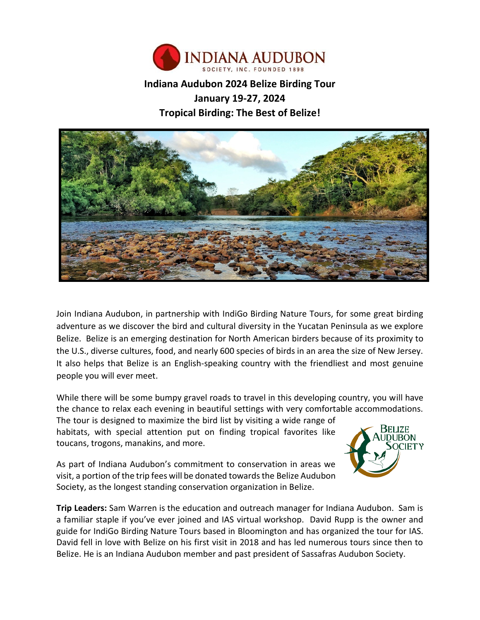

# **Indiana Audubon 2024 Belize Birding Tour January 19-27, 2024 Tropical Birding: The Best of Belize!**



Join Indiana Audubon, in partnership with IndiGo Birding Nature Tours, for some great birding adventure as we discover the bird and cultural diversity in the Yucatan Peninsula as we explore Belize. Belize is an emerging destination for North American birders because of its proximity to the U.S., diverse cultures, food, and nearly 600 species of birds in an area the size of New Jersey. It also helps that Belize is an English-speaking country with the friendliest and most genuine people you will ever meet.

While there will be some bumpy gravel roads to travel in this developing country, you will have the chance to relax each evening in beautiful settings with very comfortable accommodations.

The tour is designed to maximize the bird list by visiting a wide range of habitats, with special attention put on finding tropical favorites like toucans, trogons, manakins, and more.



As part of Indiana Audubon's commitment to conservation in areas we visit, a portion of the trip fees will be donated towards the Belize Audubon Society, as the longest standing conservation organization in Belize.

**Trip Leaders:** Sam Warren is the education and outreach manager for Indiana Audubon. Sam is a familiar staple if you've ever joined and IAS virtual workshop. David Rupp is the owner and guide for IndiGo Birding Nature Tours based in Bloomington and has organized the tour for IAS. David fell in love with Belize on his first visit in 2018 and has led numerous tours since then to Belize. He is an Indiana Audubon member and past president of Sassafras Audubon Society.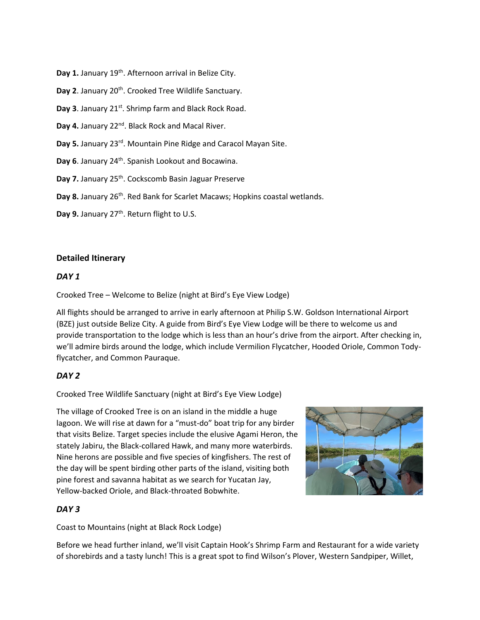Day 1. January 19<sup>th</sup>. Afternoon arrival in Belize City.

Day 2. January 20<sup>th</sup>. Crooked Tree Wildlife Sanctuary.

Day 3. January 21<sup>st</sup>. Shrimp farm and Black Rock Road.

Day 4. January 22<sup>nd</sup>. Black Rock and Macal River.

**Day 5.** January 23rd. Mountain Pine Ridge and Caracol Mayan Site.

Day 6. January 24<sup>th</sup>. Spanish Lookout and Bocawina.

Day 7. January 25<sup>th</sup>. Cockscomb Basin Jaguar Preserve

Day 8. January 26<sup>th</sup>. Red Bank for Scarlet Macaws; Hopkins coastal wetlands.

Day 9. January 27<sup>th</sup>. Return flight to U.S.

## **Detailed Itinerary**

## *DAY 1*

Crooked Tree – Welcome to Belize (night at Bird's Eye View Lodge)

All flights should be arranged to arrive in early afternoon at Philip S.W. Goldson International Airport (BZE) just outside Belize City. A guide from Bird's Eye View Lodge will be there to welcome us and provide transportation to the lodge which is less than an hour's drive from the airport. After checking in, we'll admire birds around the lodge, which include Vermilion Flycatcher, Hooded Oriole, Common Todyflycatcher, and Common Pauraque.

# *DAY 2*

Crooked Tree Wildlife Sanctuary (night at Bird's Eye View Lodge)

The village of Crooked Tree is on an island in the middle a huge lagoon. We will rise at dawn for a "must-do" boat trip for any birder that visits Belize. Target species include the elusive Agami Heron, the stately Jabiru, the Black-collared Hawk, and many more waterbirds. Nine herons are possible and five species of kingfishers. The rest of the day will be spent birding other parts of the island, visiting both pine forest and savanna habitat as we search for Yucatan Jay, Yellow-backed Oriole, and Black-throated Bobwhite.



# *DAY 3*

Coast to Mountains (night at Black Rock Lodge)

Before we head further inland, we'll visit Captain Hook's Shrimp Farm and Restaurant for a wide variety of shorebirds and a tasty lunch! This is a great spot to find Wilson's Plover, Western Sandpiper, Willet,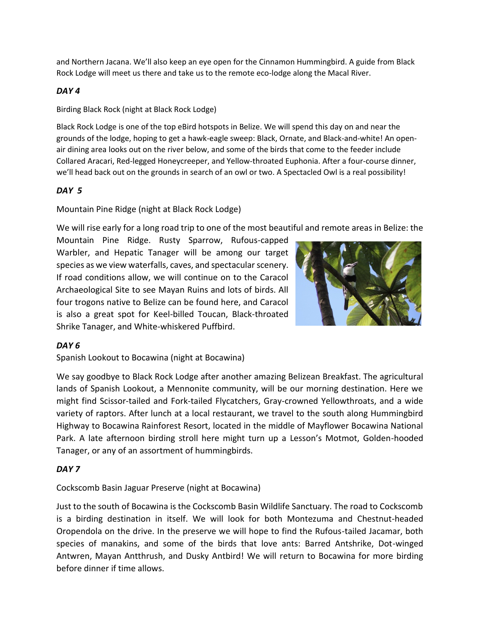and Northern Jacana. We'll also keep an eye open for the Cinnamon Hummingbird. A guide from Black Rock Lodge will meet us there and take us to the remote eco-lodge along the Macal River.

# *DAY 4*

Birding Black Rock (night at Black Rock Lodge)

Black Rock Lodge is one of the top eBird hotspots in Belize. We will spend this day on and near the grounds of the lodge, hoping to get a hawk-eagle sweep: Black, Ornate, and Black-and-white! An openair dining area looks out on the river below, and some of the birds that come to the feeder include Collared Aracari, Red-legged Honeycreeper, and Yellow-throated Euphonia. After a four-course dinner, we'll head back out on the grounds in search of an owl or two. A Spectacled Owl is a real possibility!

# *DAY 5*

Mountain Pine Ridge (night at Black Rock Lodge)

We will rise early for a long road trip to one of the most beautiful and remote areas in Belize: the

Mountain Pine Ridge. Rusty Sparrow, Rufous-capped Warbler, and Hepatic Tanager will be among our target species as we view waterfalls, caves, and spectacular scenery. If road conditions allow, we will continue on to the Caracol Archaeological Site to see Mayan Ruins and lots of birds. All four trogons native to Belize can be found here, and Caracol is also a great spot for Keel-billed Toucan, Black-throated Shrike Tanager, and White-whiskered Puffbird.



# *DAY 6*

Spanish Lookout to Bocawina (night at Bocawina)

We say goodbye to Black Rock Lodge after another amazing Belizean Breakfast. The agricultural lands of Spanish Lookout, a Mennonite community, will be our morning destination. Here we might find Scissor-tailed and Fork-tailed Flycatchers, Gray-crowned Yellowthroats, and a wide variety of raptors. After lunch at a local restaurant, we travel to the south along Hummingbird Highway to Bocawina Rainforest Resort, located in the middle of Mayflower Bocawina National Park. A late afternoon birding stroll here might turn up a Lesson's Motmot, Golden-hooded Tanager, or any of an assortment of hummingbirds.

# *DAY 7*

# Cockscomb Basin Jaguar Preserve (night at Bocawina)

Just to the south of Bocawina is the Cockscomb Basin Wildlife Sanctuary. The road to Cockscomb is a birding destination in itself. We will look for both Montezuma and Chestnut-headed Oropendola on the drive. In the preserve we will hope to find the Rufous-tailed Jacamar, both species of manakins, and some of the birds that love ants: Barred Antshrike, Dot-winged Antwren, Mayan Antthrush, and Dusky Antbird! We will return to Bocawina for more birding before dinner if time allows.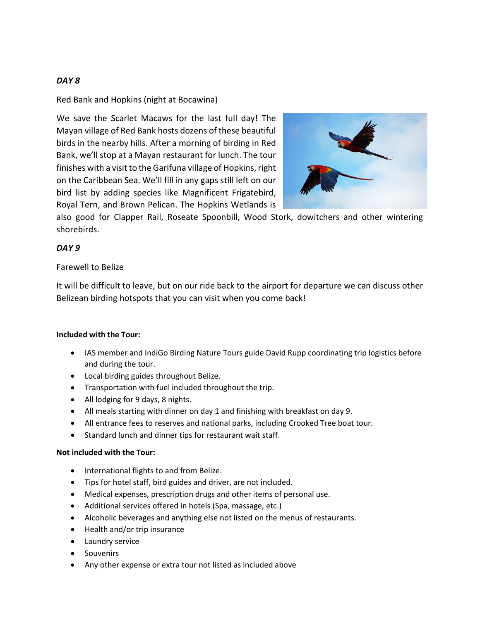# *DAY 8*

Red Bank and Hopkins (night at Bocawina)

We save the Scarlet Macaws for the last full day! The Mayan village of Red Bank hosts dozens of these beautiful birds in the nearby hills. After a morning of birding in Red Bank, we'll stop at a Mayan restaurant for lunch. The tour finishes with a visit to the Garifuna village of Hopkins, right on the Caribbean Sea. We'll fill in any gaps still left on our bird list by adding species like Magnificent Frigatebird, Royal Tern, and Brown Pelican. The Hopkins Wetlands is



also good for Clapper Rail, Roseate Spoonbill, Wood Stork, dowitchers and other wintering shorebirds.

# *DAY 9*

## Farewell to Belize

It will be difficult to leave, but on our ride back to the airport for departure we can discuss other Belizean birding hotspots that you can visit when you come back!

#### **Included with the Tour:**

- IAS member and IndiGo Birding Nature Tours guide David Rupp coordinating trip logistics before and during the tour.
- Local birding guides throughout Belize.
- Transportation with fuel included throughout the trip.
- All lodging for 9 days, 8 nights.
- All meals starting with dinner on day 1 and finishing with breakfast on day 9.
- All entrance fees to reserves and national parks, including Crooked Tree boat tour.
- Standard lunch and dinner tips for restaurant wait staff.

#### **Not included with the Tour:**

- International flights to and from Belize.
- Tips for hotel staff, bird guides and driver, are not included.
- Medical expenses, prescription drugs and other items of personal use.
- Additional services offered in hotels (Spa, massage, etc.)
- Alcoholic beverages and anything else not listed on the menus of restaurants.
- Health and/or trip insurance
- Laundry service
- Souvenirs
- Any other expense or extra tour not listed as included above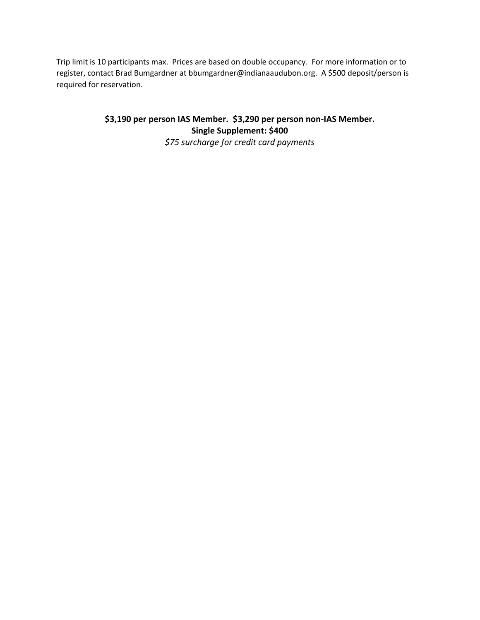Trip limit is 10 participants max. Prices are based on double occupancy. For more information or to register, contact Brad Bumgardner at bbumgardner@indianaaudubon.org. A \$500 deposit/person is required for reservation.

> **\$3,190 per person IAS Member. \$3,290 per person non-IAS Member. Single Supplement: \$400**

*\$75 surcharge for credit card payments*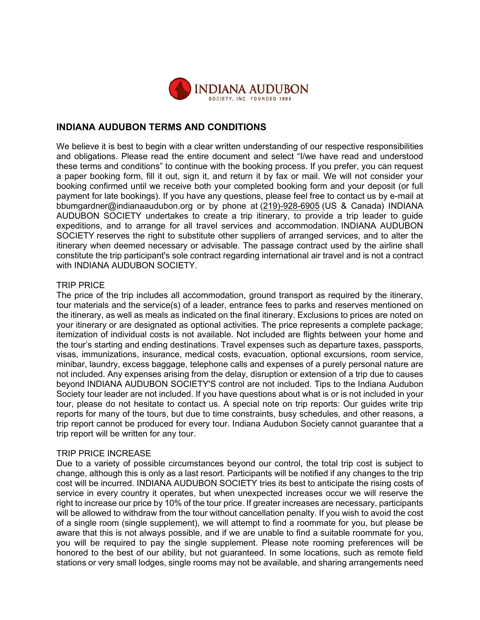

# **INDIANA AUDUBON TERMS AND CONDITIONS**

We believe it is best to begin with a clear written understanding of our respective responsibilities and obligations. Please read the entire document and select "I/we have read and understood these terms and conditions" to continue with the booking process. If you prefer, you can request a paper booking form, fill it out, sign it, and return it by fax or mail. We will not consider your booking confirmed until we receive both your completed booking form and your deposit (or full payment for late bookings). If you have any questions, please feel free to contact us by e-mail at bbumgardner@indianaaudubon.org or by phone at (219)-928-6905 (US & Canada) INDIANA AUDUBON SOCIETY undertakes to create a trip itinerary, to provide a trip leader to guide expeditions, and to arrange for all travel services and accommodation. INDIANA AUDUBON SOCIETY reserves the right to substitute other suppliers of arranged services, and to alter the itinerary when deemed necessary or advisable. The passage contract used by the airline shall constitute the trip participant's sole contract regarding international air travel and is not a contract with INDIANA AUDUBON SOCIETY.

#### TRIP PRICE

The price of the trip includes all accommodation, ground transport as required by the itinerary, tour materials and the service(s) of a leader, entrance fees to parks and reserves mentioned on the itinerary, as well as meals as indicated on the final itinerary. Exclusions to prices are noted on your itinerary or are designated as optional activities. The price represents a complete package; itemization of individual costs is not available. Not included are flights between your home and the tour's starting and ending destinations. Travel expenses such as departure taxes, passports, visas, immunizations, insurance, medical costs, evacuation, optional excursions, room service, minibar, laundry, excess baggage, telephone calls and expenses of a purely personal nature are not included. Any expenses arising from the delay, disruption or extension of a trip due to causes beyond INDIANA AUDUBON SOCIETY'S control are not included. Tips to the Indiana Audubon Society tour leader are not included. If you have questions about what is or is not included in your tour, please do not hesitate to contact us. A special note on trip reports: Our guides write trip reports for many of the tours, but due to time constraints, busy schedules, and other reasons, a trip report cannot be produced for every tour. Indiana Audubon Society cannot guarantee that a trip report will be written for any tour.

#### TRIP PRICE INCREASE

Due to a variety of possible circumstances beyond our control, the total trip cost is subject to change, although this is only as a last resort. Participants will be notified if any changes to the trip cost will be incurred. INDIANA AUDUBON SOCIETY tries its best to anticipate the rising costs of service in every country it operates, but when unexpected increases occur we will reserve the right to increase our price by 10% of the tour price. If greater increases are necessary, participants will be allowed to withdraw from the tour without cancellation penalty. If you wish to avoid the cost of a single room (single supplement), we will attempt to find a roommate for you, but please be aware that this is not always possible, and if we are unable to find a suitable roommate for you, you will be required to pay the single supplement. Please note rooming preferences will be honored to the best of our ability, but not guaranteed. In some locations, such as remote field stations or very small lodges, single rooms may not be available, and sharing arrangements need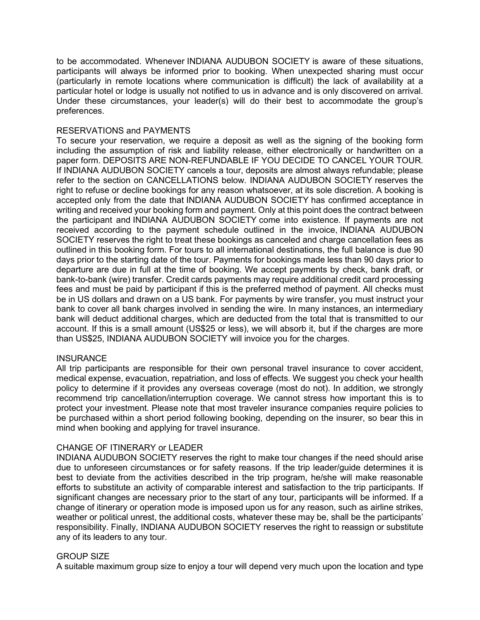to be accommodated. Whenever INDIANA AUDUBON SOCIETY is aware of these situations, participants will always be informed prior to booking. When unexpected sharing must occur (particularly in remote locations where communication is difficult) the lack of availability at a particular hotel or lodge is usually not notified to us in advance and is only discovered on arrival. Under these circumstances, your leader(s) will do their best to accommodate the group's preferences.

## RESERVATIONS and PAYMENTS

To secure your reservation, we require a deposit as well as the signing of the booking form including the assumption of risk and liability release, either electronically or handwritten on a paper form. DEPOSITS ARE NON-REFUNDABLE IF YOU DECIDE TO CANCEL YOUR TOUR. If INDIANA AUDUBON SOCIETY cancels a tour, deposits are almost always refundable; please refer to the section on CANCELLATIONS below. INDIANA AUDUBON SOCIETY reserves the right to refuse or decline bookings for any reason whatsoever, at its sole discretion. A booking is accepted only from the date that INDIANA AUDUBON SOCIETY has confirmed acceptance in writing and received your booking form and payment. Only at this point does the contract between the participant and INDIANA AUDUBON SOCIETY come into existence. If payments are not received according to the payment schedule outlined in the invoice, INDIANA AUDUBON SOCIETY reserves the right to treat these bookings as canceled and charge cancellation fees as outlined in this booking form. For tours to all international destinations, the full balance is due 90 days prior to the starting date of the tour. Payments for bookings made less than 90 days prior to departure are due in full at the time of booking. We accept payments by check, bank draft, or bank-to-bank (wire) transfer. Credit cards payments may require additional credit card processing fees and must be paid by participant if this is the preferred method of payment. All checks must be in US dollars and drawn on a US bank. For payments by wire transfer, you must instruct your bank to cover all bank charges involved in sending the wire. In many instances, an intermediary bank will deduct additional charges, which are deducted from the total that is transmitted to our account. If this is a small amount (US\$25 or less), we will absorb it, but if the charges are more than US\$25, INDIANA AUDUBON SOCIETY will invoice you for the charges.

#### **INSURANCE**

All trip participants are responsible for their own personal travel insurance to cover accident, medical expense, evacuation, repatriation, and loss of effects. We suggest you check your health policy to determine if it provides any overseas coverage (most do not). In addition, we strongly recommend trip cancellation/interruption coverage. We cannot stress how important this is to protect your investment. Please note that most traveler insurance companies require policies to be purchased within a short period following booking, depending on the insurer, so bear this in mind when booking and applying for travel insurance.

# CHANGE OF ITINERARY or LEADER

INDIANA AUDUBON SOCIETY reserves the right to make tour changes if the need should arise due to unforeseen circumstances or for safety reasons. If the trip leader/guide determines it is best to deviate from the activities described in the trip program, he/she will make reasonable efforts to substitute an activity of comparable interest and satisfaction to the trip participants. If significant changes are necessary prior to the start of any tour, participants will be informed. If a change of itinerary or operation mode is imposed upon us for any reason, such as airline strikes, weather or political unrest, the additional costs, whatever these may be, shall be the participants' responsibility. Finally, INDIANA AUDUBON SOCIETY reserves the right to reassign or substitute any of its leaders to any tour.

# GROUP SIZE

A suitable maximum group size to enjoy a tour will depend very much upon the location and type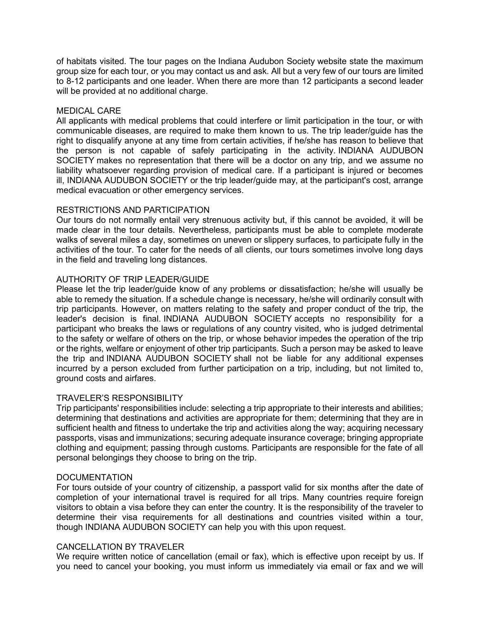of habitats visited. The tour pages on the Indiana Audubon Society website state the maximum group size for each tour, or you may contact us and ask. All but a very few of our tours are limited to 8-12 participants and one leader. When there are more than 12 participants a second leader will be provided at no additional charge.

## MEDICAL CARE

All applicants with medical problems that could interfere or limit participation in the tour, or with communicable diseases, are required to make them known to us. The trip leader/guide has the right to disqualify anyone at any time from certain activities, if he/she has reason to believe that the person is not capable of safely participating in the activity. INDIANA AUDUBON SOCIETY makes no representation that there will be a doctor on any trip, and we assume no liability whatsoever regarding provision of medical care. If a participant is injured or becomes ill, INDIANA AUDUBON SOCIETY or the trip leader/guide may, at the participant's cost, arrange medical evacuation or other emergency services.

## RESTRICTIONS AND PARTICIPATION

Our tours do not normally entail very strenuous activity but, if this cannot be avoided, it will be made clear in the tour details. Nevertheless, participants must be able to complete moderate walks of several miles a day, sometimes on uneven or slippery surfaces, to participate fully in the activities of the tour. To cater for the needs of all clients, our tours sometimes involve long days in the field and traveling long distances.

# AUTHORITY OF TRIP LEADER/GUIDE

Please let the trip leader/guide know of any problems or dissatisfaction; he/she will usually be able to remedy the situation. If a schedule change is necessary, he/she will ordinarily consult with trip participants. However, on matters relating to the safety and proper conduct of the trip, the leader's decision is final. INDIANA AUDUBON SOCIETY accepts no responsibility for a participant who breaks the laws or regulations of any country visited, who is judged detrimental to the safety or welfare of others on the trip, or whose behavior impedes the operation of the trip or the rights, welfare or enjoyment of other trip participants. Such a person may be asked to leave the trip and INDIANA AUDUBON SOCIETY shall not be liable for any additional expenses incurred by a person excluded from further participation on a trip, including, but not limited to, ground costs and airfares.

# TRAVELER'S RESPONSIBILITY

Trip participants' responsibilities include: selecting a trip appropriate to their interests and abilities; determining that destinations and activities are appropriate for them; determining that they are in sufficient health and fitness to undertake the trip and activities along the way; acquiring necessary passports, visas and immunizations; securing adequate insurance coverage; bringing appropriate clothing and equipment; passing through customs. Participants are responsible for the fate of all personal belongings they choose to bring on the trip.

# **DOCUMENTATION**

For tours outside of your country of citizenship, a passport valid for six months after the date of completion of your international travel is required for all trips. Many countries require foreign visitors to obtain a visa before they can enter the country. It is the responsibility of the traveler to determine their visa requirements for all destinations and countries visited within a tour, though INDIANA AUDUBON SOCIETY can help you with this upon request.

#### CANCELLATION BY TRAVELER

We require written notice of cancellation (email or fax), which is effective upon receipt by us. If you need to cancel your booking, you must inform us immediately via email or fax and we will